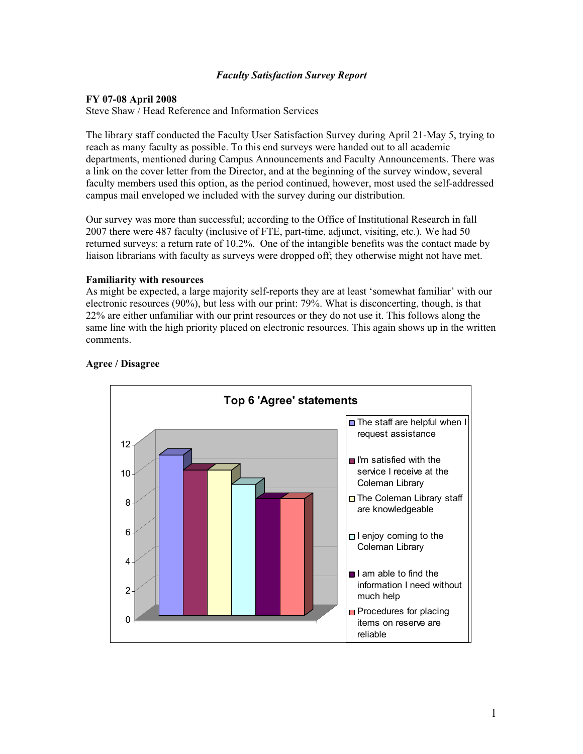## *Faculty Satisfaction Survey Report*

## **FY 07-08 April 2008**

Steve Shaw / Head Reference and Information Services

The library staff conducted the Faculty User Satisfaction Survey during April 21-May 5, trying to reach as many faculty as possible. To this end surveys were handed out to all academic departments, mentioned during Campus Announcements and Faculty Announcements. There was a link on the cover letter from the Director, and at the beginning of the survey window, several faculty members used this option, as the period continued, however, most used the self-addressed campus mail enveloped we included with the survey during our distribution.

Our survey was more than successful; according to the Office of Institutional Research in fall 2007 there were 487 faculty (inclusive of FTE, part-time, adjunct, visiting, etc.). We had 50 returned surveys: a return rate of 10.2%. One of the intangible benefits was the contact made by liaison librarians with faculty as surveys were dropped off; they otherwise might not have met.

### **Familiarity with resources**

As might be expected, a large majority self-reports they are at least 'somewhat familiar' with our electronic resources (90%), but less with our print: 79%. What is disconcerting, though, is that 22% are either unfamiliar with our print resources or they do not use it. This follows along the same line with the high priority placed on electronic resources. This again shows up in the written comments.



# **Agree / Disagree**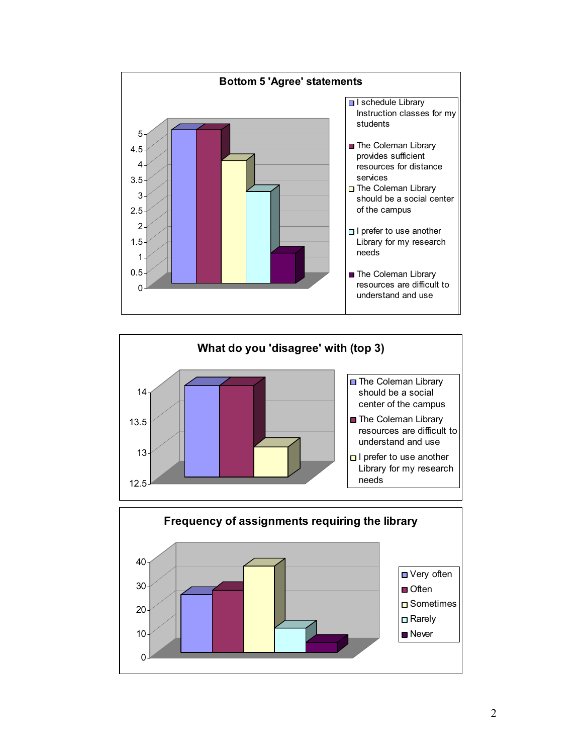



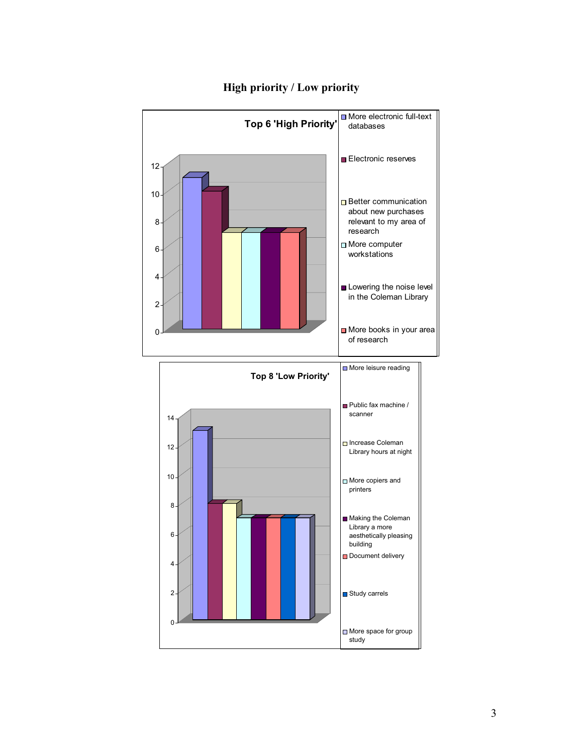

# **High priority / Low priority**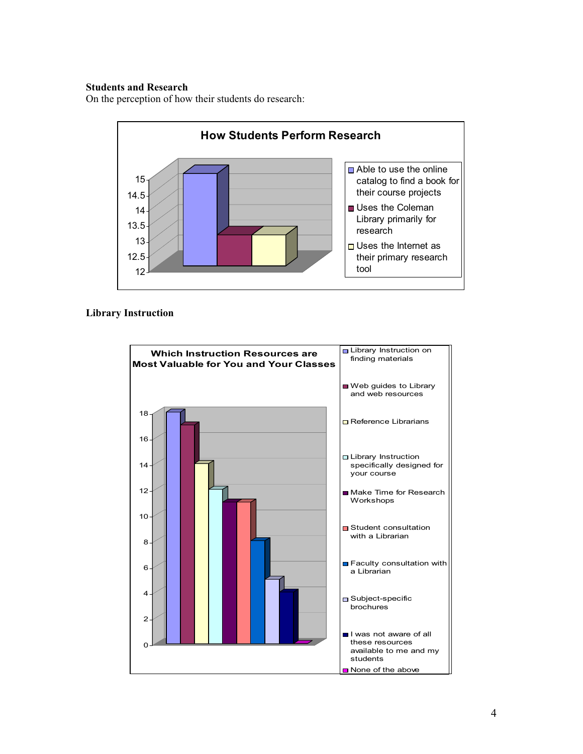# **Students and Research**

On the perception of how their students do research:



### **Library Instruction**